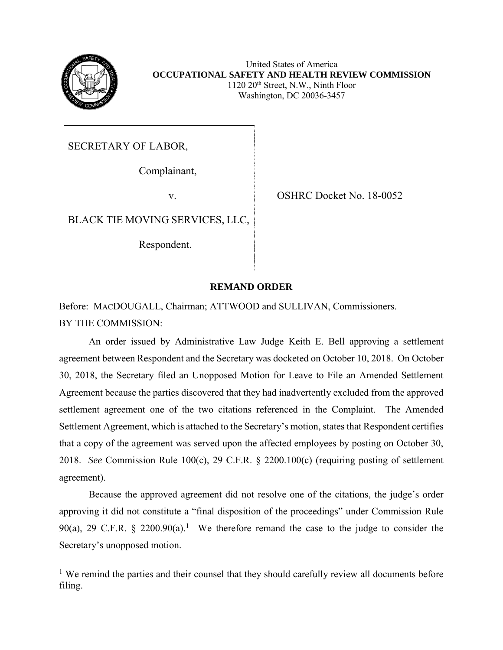

United States of America **OCCUPATIONAL SAFETY AND HEALTH REVIEW COMMISSION**  $1120 20<sup>th</sup>$  Street, N.W., Ninth Floor Washington, DC 20036-3457

SECRETARY OF LABOR,

Complainant,

v. SHRC Docket No. 18-0052

BLACK TIE MOVING SERVICES, LLC,

Respondent.

## **REMAND ORDER**

Before: MACDOUGALL, Chairman; ATTWOOD and SULLIVAN, Commissioners. BY THE COMMISSION:

An order issued by Administrative Law Judge Keith E. Bell approving a settlement agreement between Respondent and the Secretary was docketed on October 10, 2018. On October 30, 2018, the Secretary filed an Unopposed Motion for Leave to File an Amended Settlement Agreement because the parties discovered that they had inadvertently excluded from the approved settlement agreement one of the two citations referenced in the Complaint. The Amended Settlement Agreement, which is attached to the Secretary's motion, states that Respondent certifies that a copy of the agreement was served upon the affected employees by posting on October 30, 2018. *See* Commission Rule 100(c), 29 C.F.R. § 2200.100(c) (requiring posting of settlement agreement).

Because the approved agreement did not resolve one of the citations, the judge's order approving it did not constitute a "final disposition of the proceedings" under Commission Rule 90(a), 29 C.F.R. § 2200.90(a).<sup>1</sup> We therefore remand the case to the judge to consider the Secretary's unopposed motion.

 $\overline{a}$ <sup>1</sup> We remind the parties and their counsel that they should carefully review all documents before filing.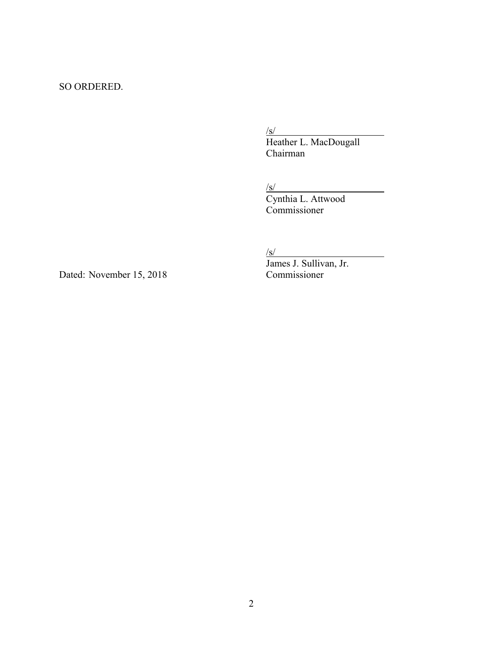## SO ORDERED.

 $\sqrt{s/}$ 

Heather L. MacDougall Chairman

 $\sqrt{s/}$ 

Cynthia L. Attwood Commissioner

 $\sqrt{s/}$ 

Dated: November 15, 2018 Commissioner

James J. Sullivan, Jr.